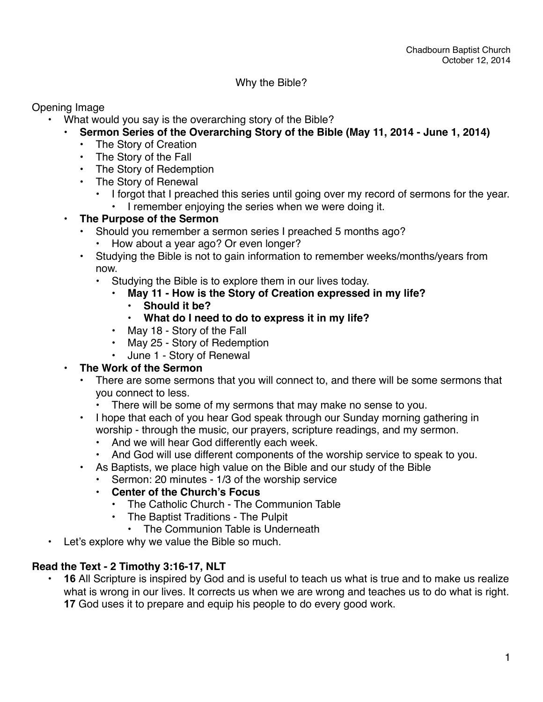#### Why the Bible?

Opening Image

- What would you say is the overarching story of the Bible?
	- **• Sermon Series of the Overarching Story of the Bible (May 11, 2014 June 1, 2014)**
		- The Story of Creation
		- The Story of the Fall
		- The Story of Redemption
		- The Story of Renewal
			- I forgot that I preached this series until going over my record of sermons for the year.
				- I remember enjoying the series when we were doing it.

### **• The Purpose of the Sermon**

- Should you remember a sermon series I preached 5 months ago?
	- How about a year ago? Or even longer?
- Studying the Bible is not to gain information to remember weeks/months/years from now.
	- Studying the Bible is to explore them in our lives today.
		- **• May 11 How is the Story of Creation expressed in my life?**
			- **• Should it be?**
			- **• What do I need to do to express it in my life?**
		- May 18 Story of the Fall
		- May 25 Story of Redemption
		- June 1 Story of Renewal

### **• The Work of the Sermon**

- There are some sermons that you will connect to, and there will be some sermons that you connect to less.
	- There will be some of my sermons that may make no sense to you.
- I hope that each of you hear God speak through our Sunday morning gathering in worship - through the music, our prayers, scripture readings, and my sermon.
	- And we will hear God differently each week.
	- And God will use different components of the worship service to speak to you.
- As Baptists, we place high value on the Bible and our study of the Bible
	- Sermon: 20 minutes 1/3 of the worship service
	- **• Center of the Church's Focus**
		- The Catholic Church The Communion Table
		- The Baptist Traditions The Pulpit
			- The Communion Table is Underneath
- Let's explore why we value the Bible so much.

# **Read the Text - 2 Timothy 3:16-17, NLT**

• **16** All Scripture is inspired by God and is useful to teach us what is true and to make us realize what is wrong in our lives. It corrects us when we are wrong and teaches us to do what is right. **17** God uses it to prepare and equip his people to do every good work.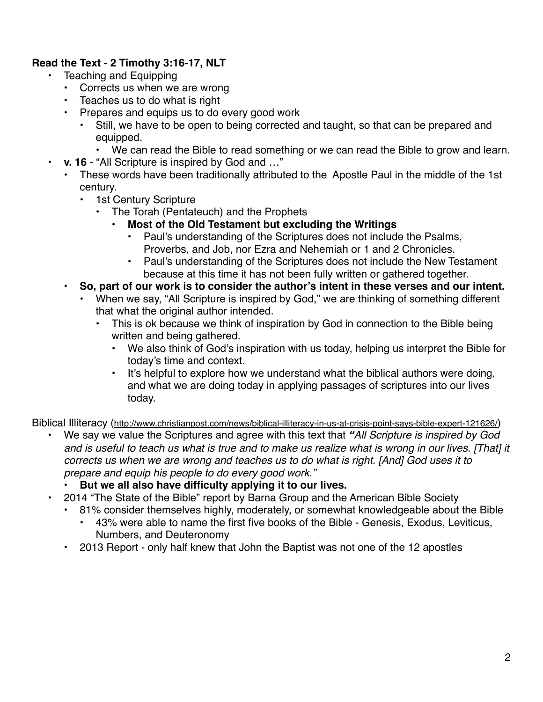# **Read the Text - 2 Timothy 3:16-17, NLT**

- Teaching and Equipping
	- Corrects us when we are wrong
	- Teaches us to do what is right
	- Prepares and equips us to do every good work
		- Still, we have to be open to being corrected and taught, so that can be prepared and equipped.
			- We can read the Bible to read something or we can read the Bible to grow and learn.
	- **v. 16** "All Scripture is inspired by God and …"
		- These words have been traditionally attributed to the Apostle Paul in the middle of the 1st century.
			- 1st Century Scripture
				- The Torah (Pentateuch) and the Prophets
					- **• Most of the Old Testament but excluding the Writings**
						- Paul's understanding of the Scriptures does not include the Psalms, Proverbs, and Job, nor Ezra and Nehemiah or 1 and 2 Chronicles.
						- Paul's understanding of the Scriptures does not include the New Testament because at this time it has not been fully written or gathered together.
		- **• So, part of our work is to consider the author's intent in these verses and our intent.**
			- When we say, "All Scripture is inspired by God," we are thinking of something different that what the original author intended.
				- This is ok because we think of inspiration by God in connection to the Bible being written and being gathered.
					- We also think of God's inspiration with us today, helping us interpret the Bible for today's time and context.
					- It's helpful to explore how we understand what the biblical authors were doing, and what we are doing today in applying passages of scriptures into our lives today.

Biblical Illiteracy (<http://www.christianpost.com/news/biblical-illiteracy-in-us-at-crisis-point-says-bible-expert-121626/>)

- We say we value the Scriptures and agree with this text that *"All Scripture is inspired by God and is useful to teach us what is true and to make us realize what is wrong in our lives. [That] it corrects us when we are wrong and teaches us to do what is right. [And] God uses it to prepare and equip his people to do every good work."*
	- **• But we all also have difficulty applying it to our lives.**
- 2014 "The State of the Bible" report by Barna Group and the American Bible Society
	- 81% consider themselves highly, moderately, or somewhat knowledgeable about the Bible
		- 43% were able to name the first five books of the Bible Genesis, Exodus, Leviticus, Numbers, and Deuteronomy
	- 2013 Report only half knew that John the Baptist was not one of the 12 apostles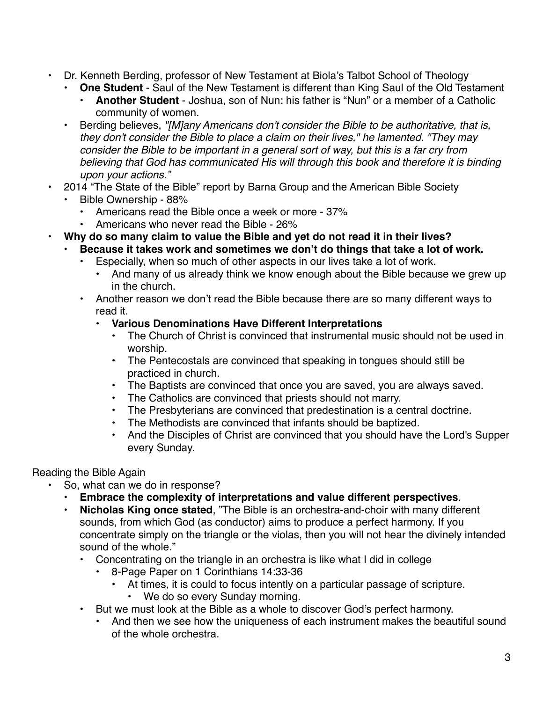- Dr. Kenneth Berding, professor of New Testament at Biola's Talbot School of Theology
	- **One Student** Saul of the New Testament is different than King Saul of the Old Testament
		- **Another Student** Joshua, son of Nun: his father is "Nun" or a member of a Catholic community of women.
	- Berding believes, *"[M]any Americans don't consider the Bible to be authoritative, that is, they don't consider the Bible to place a claim on their lives," he lamented. "They may consider the Bible to be important in a general sort of way, but this is a far cry from believing that God has communicated His will through this book and therefore it is binding upon your actions."*
- 2014 "The State of the Bible" report by Barna Group and the American Bible Society
	- Bible Ownership 88%
		- Americans read the Bible once a week or more 37%
		- Americans who never read the Bible 26%
- **• Why do so many claim to value the Bible and yet do not read it in their lives?**
	- **• Because it takes work and sometimes we don't do things that take a lot of work.**
		- Especially, when so much of other aspects in our lives take a lot of work.
			- And many of us already think we know enough about the Bible because we grew up in the church.
		- Another reason we don't read the Bible because there are so many different ways to read it.
			- **• Various Denominations Have Different Interpretations**
				- The Church of Christ is convinced that instrumental music should not be used in worship.
				- The Pentecostals are convinced that speaking in tongues should still be practiced in church.
				- The Baptists are convinced that once you are saved, you are always saved.<br>• The Catholics are convinced that priests should not marry
				- The Catholics are convinced that priests should not marry.
				- The Presbyterians are convinced that predestination is a central doctrine.
				- The Methodists are convinced that infants should be baptized.
				- And the Disciples of Christ are convinced that you should have the Lord's Supper every Sunday.

### Reading the Bible Again

- So, what can we do in response?
	- **Embrace the complexity of interpretations and value different perspectives**.
	- **Nicholas King once stated**, "The Bible is an orchestra-and-choir with many different sounds, from which God (as conductor) aims to produce a perfect harmony. If you concentrate simply on the triangle or the violas, then you will not hear the divinely intended sound of the whole."
		- Concentrating on the triangle in an orchestra is like what I did in college
			- 8-Page Paper on 1 Corinthians 14:33-36
				- At times, it is could to focus intently on a particular passage of scripture.
				- We do so every Sunday morning.
		- But we must look at the Bible as a whole to discover God's perfect harmony.
			- And then we see how the uniqueness of each instrument makes the beautiful sound of the whole orchestra.